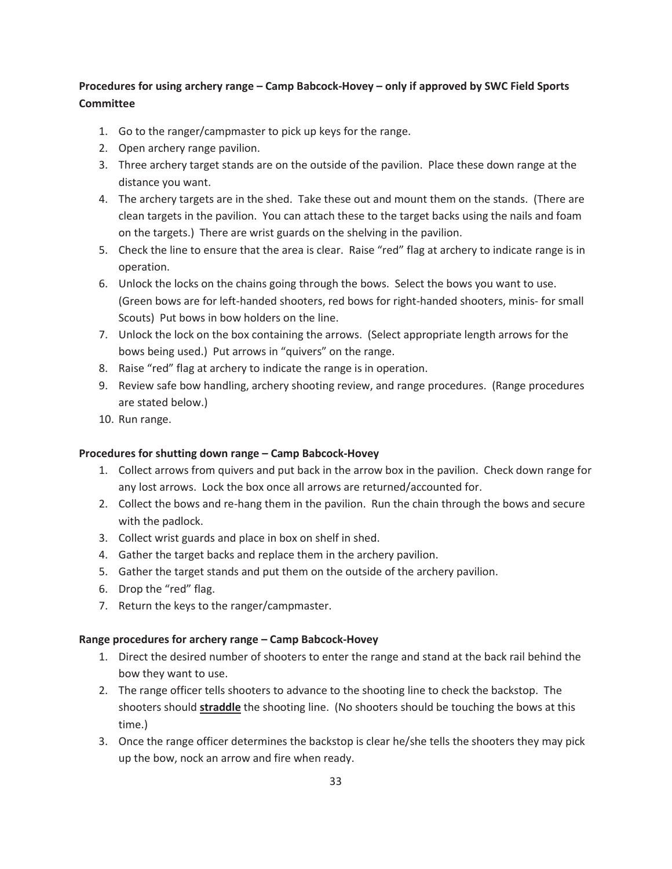## **Procedures for using archery range – Camp Babcock-Hovey – only if approved by SWC Field Sports Committee**

- 1. Go to the ranger/campmaster to pick up keys for the range.
- 2. Open archery range pavilion.
- 3. Three archery target stands are on the outside of the pavilion. Place these down range at the distance you want.
- 4. The archery targets are in the shed. Take these out and mount them on the stands. (There are clean targets in the pavilion. You can attach these to the target backs using the nails and foam on the targets.) There are wrist guards on the shelving in the pavilion.
- 5. Check the line to ensure that the area is clear. Raise "red" flag at archery to indicate range is in operation.
- 6. Unlock the locks on the chains going through the bows. Select the bows you want to use. (Green bows are for left-handed shooters, red bows for right-handed shooters, minis- for small Scouts) Put bows in bow holders on the line.
- 7. Unlock the lock on the box containing the arrows. (Select appropriate length arrows for the bows being used.) Put arrows in "quivers" on the range.
- 8. Raise "red" flag at archery to indicate the range is in operation.
- 9. Review safe bow handling, archery shooting review, and range procedures. (Range procedures are stated below.)
- 10. Run range.

## **Procedures for shutting down range – Camp Babcock-Hovey**

- 1. Collect arrows from quivers and put back in the arrow box in the pavilion. Check down range for any lost arrows. Lock the box once all arrows are returned/accounted for.
- 2. Collect the bows and re-hang them in the pavilion. Run the chain through the bows and secure with the padlock.
- 3. Collect wrist guards and place in box on shelf in shed.
- 4. Gather the target backs and replace them in the archery pavilion.
- 5. Gather the target stands and put them on the outside of the archery pavilion.
- 6. Drop the "red" flag.
- 7. Return the keys to the ranger/campmaster.

## **Range procedures for archery range – Camp Babcock-Hovey**

- 1. Direct the desired number of shooters to enter the range and stand at the back rail behind the bow they want to use.
- 2. The range officer tells shooters to advance to the shooting line to check the backstop. The shooters should **straddle** the shooting line. (No shooters should be touching the bows at this time.)
- 3. Once the range officer determines the backstop is clear he/she tells the shooters they may pick up the bow, nock an arrow and fire when ready.